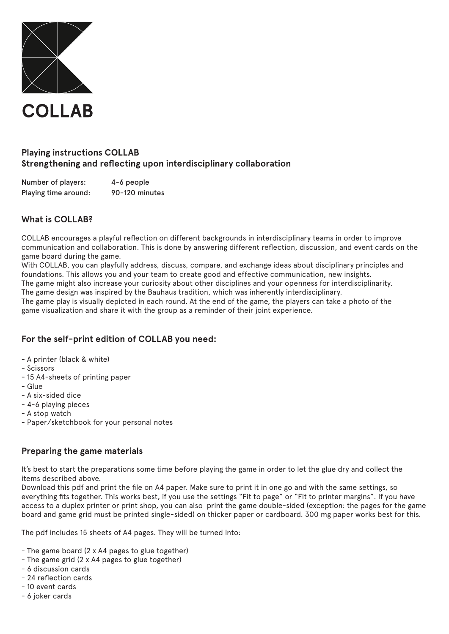

# **Playing instructions COLLAB Strengthening and reflecting upon interdisciplinary collaboration**

Number of players: 4-6 people Playing time around: 90-120 minutes

# **What is COLLAB?**

COLLAB encourages a playful reflection on different backgrounds in interdisciplinary teams in order to improve communication and collaboration. This is done by answering different reflection, discussion, and event cards on the game board during the game.

With COLLAB, you can playfully address, discuss, compare, and exchange ideas about disciplinary principles and foundations. This allows you and your team to create good and effective communication, new insights.

The game might also increase your curiosity about other disciplines and your openness for interdisciplinarity. The game design was inspired by the Bauhaus tradition, which was inherently interdisciplinary.

The game play is visually depicted in each round. At the end of the game, the players can take a photo of the game visualization and share it with the group as a reminder of their joint experience.

### **For the self-print edition of COLLAB you need:**

- A printer (black & white)
- Scissors
- 15 A4-sheets of printing paper
- Glue
- A six-sided dice
- 4-6 playing pieces
- A stop watch
- Paper/sketchbook for your personal notes

### **Preparing the game materials**

It's best to start the preparations some time before playing the game in order to let the glue dry and collect the items described above.

Download this pdf and print the file on A4 paper. Make sure to print it in one go and with the same settings, so everything fits together. This works best, if you use the settings "Fit to page" or "Fit to printer margins". If you have access to a duplex printer or print shop, you can also print the game double-sided (exception: the pages for the game board and game grid must be printed single-sided) on thicker paper or cardboard. 300 mg paper works best for this.

The pdf includes 15 sheets of A4 pages. They will be turned into:

- The game board (2 x A4 pages to glue together)
- The game grid (2 x A4 pages to glue together)
- 6 discussion cards
- 24 reflection cards
- 10 event cards
- 6 joker cards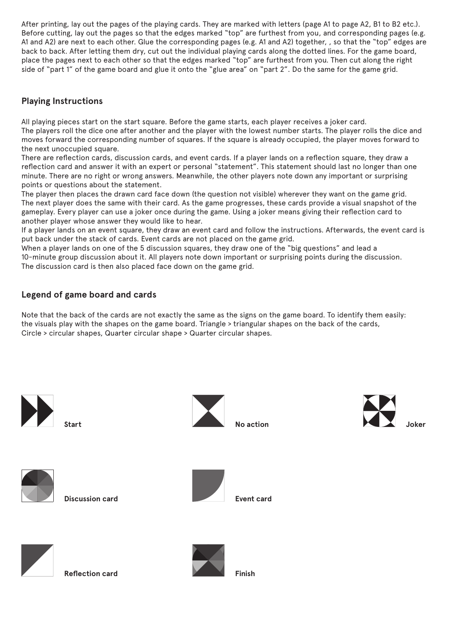After printing, lay out the pages of the playing cards. They are marked with letters (page A1 to page A2, B1 to B2 etc.). Before cutting, lay out the pages so that the edges marked "top" are furthest from you, and corresponding pages (e.g. A1 and A2) are next to each other. Glue the corresponding pages (e.g. A1 and A2) together, , so that the "top" edges are back to back. After letting them dry, cut out the individual playing cards along the dotted lines. For the game board, place the pages next to each other so that the edges marked "top" are furthest from you. Then cut along the right side of "part 1" of the game board and glue it onto the "glue area" on "part 2". Do the same for the game grid.

## **Playing Instructions**

All playing pieces start on the start square. Before the game starts, each player receives a joker card. The players roll the dice one after another and the player with the lowest number starts. The player rolls the dice and moves forward the corresponding number of squares. If the square is already occupied, the player moves forward to the next unoccupied square.

There are reflection cards, discussion cards, and event cards. If a player lands on a reflection square, they draw a reflection card and answer it with an expert or personal "statement". This statement should last no longer than one minute. There are no right or wrong answers. Meanwhile, the other players note down any important or surprising points or questions about the statement.

The player then places the drawn card face down (the question not visible) wherever they want on the game grid. The next player does the same with their card. As the game progresses, these cards provide a visual snapshot of the gameplay. Every player can use a joker once during the game. Using a joker means giving their reflection card to another player whose answer they would like to hear.

If a player lands on an event square, they draw an event card and follow the instructions. Afterwards, the event card is put back under the stack of cards. Event cards are not placed on the game grid.

When a player lands on one of the 5 discussion squares, they draw one of the "big questions" and lead a 10-minute group discussion about it. All players note down important or surprising points during the discussion. The discussion card is then also placed face down on the game grid.

### **Legend of game board and cards**

Note that the back of the cards are not exactly the same as the signs on the game board. To identify them easily: the visuals play with the shapes on the game board. Triangle > triangular shapes on the back of the cards, Circle > circular shapes, Quarter circular shape > Quarter circular shapes.





**Reflection card**



**Finish**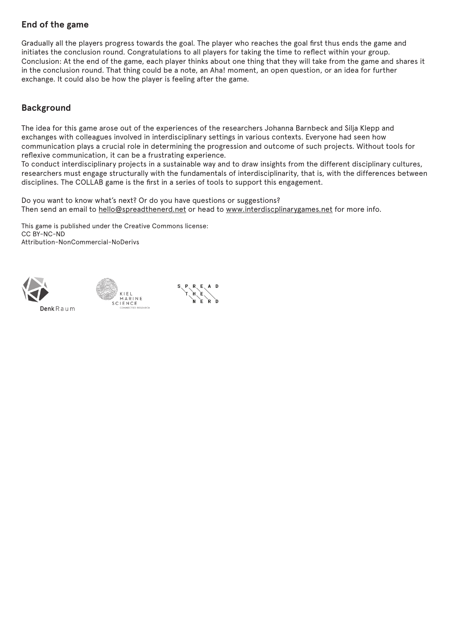# **End of the game**

Gradually all the players progress towards the goal. The player who reaches the goal first thus ends the game and initiates the conclusion round. Congratulations to all players for taking the time to reflect within your group. Conclusion: At the end of the game, each player thinks about one thing that they will take from the game and shares it in the conclusion round. That thing could be a note, an Aha! moment, an open question, or an idea for further exchange. It could also be how the player is feeling after the game.

# **Background**

The idea for this game arose out of the experiences of the researchers Johanna Barnbeck and Silja Klepp and exchanges with colleagues involved in interdisciplinary settings in various contexts. Everyone had seen how communication plays a crucial role in determining the progression and outcome of such projects. Without tools for reflexive communication, it can be a frustrating experience.

To conduct interdisciplinary projects in a sustainable way and to draw insights from the different disciplinary cultures, researchers must engage structurally with the fundamentals of interdisciplinarity, that is, with the differences between disciplines. The COLLAB game is the first in a series of tools to support this engagement.

Do you want to know what's next? Or do you have questions or suggestions? Then send an email to hello@spreadthenerd.net or head to www.interdiscplinarygames.net for more info.

This game is published under the Creative Commons license: CC BY-NC-ND Attribution-NonCommercial-NoDerivs



Denk Raum

:<br>KIEL<br>MARINE

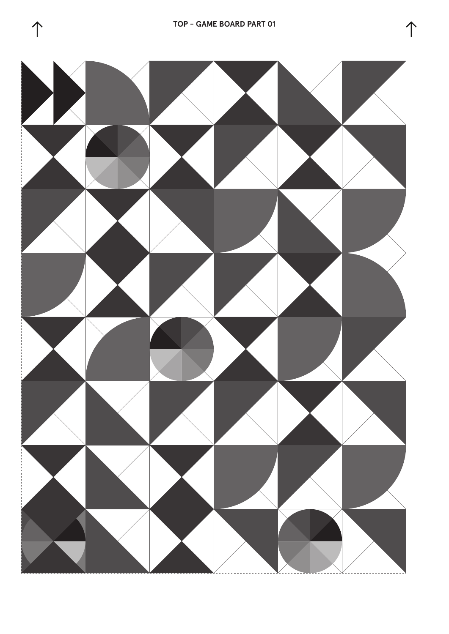



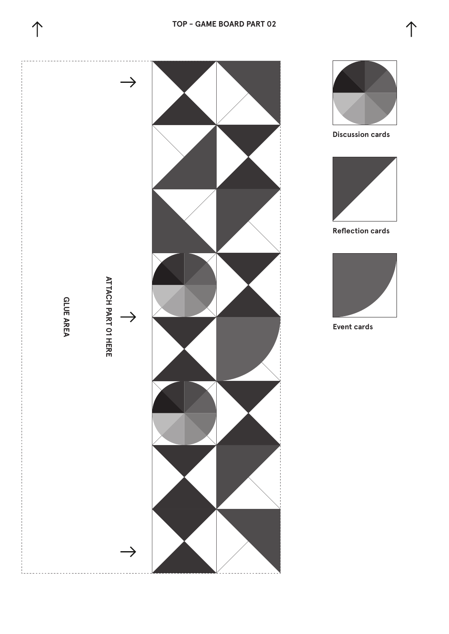







**Discussion cards**



**Reflection cards**



**Event cards**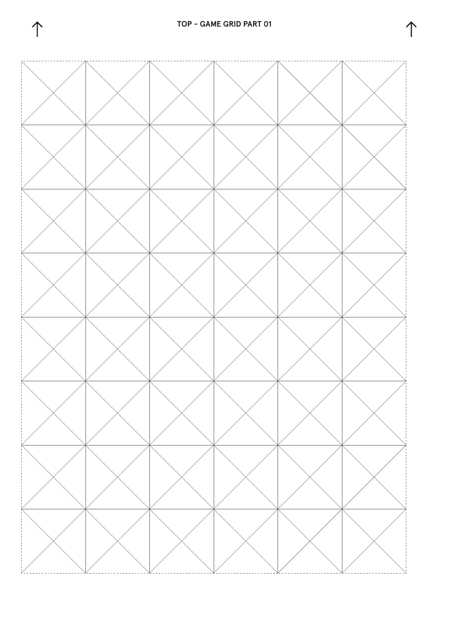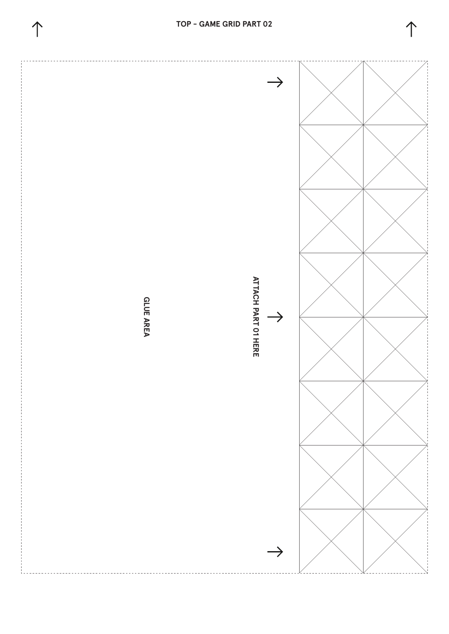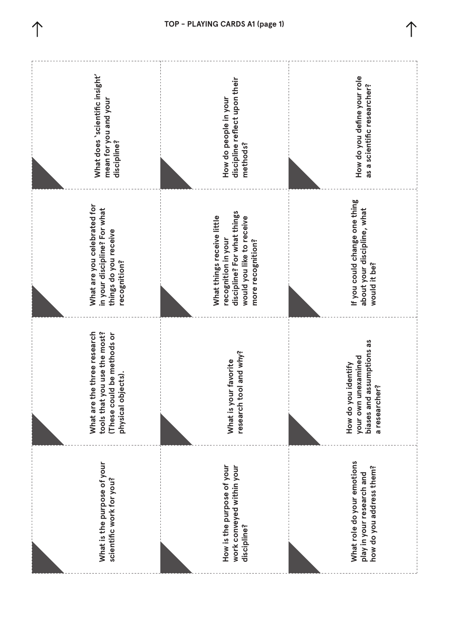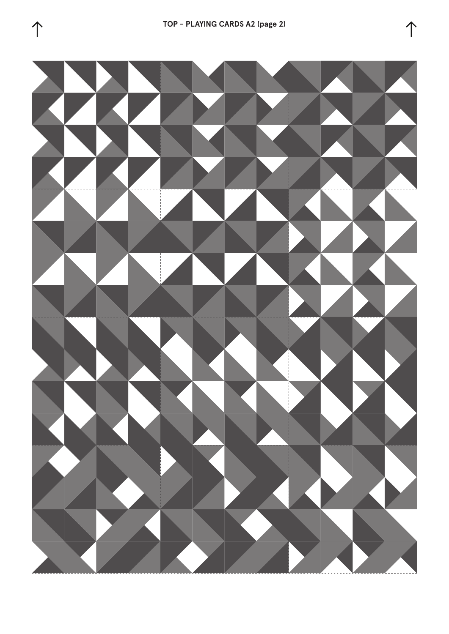



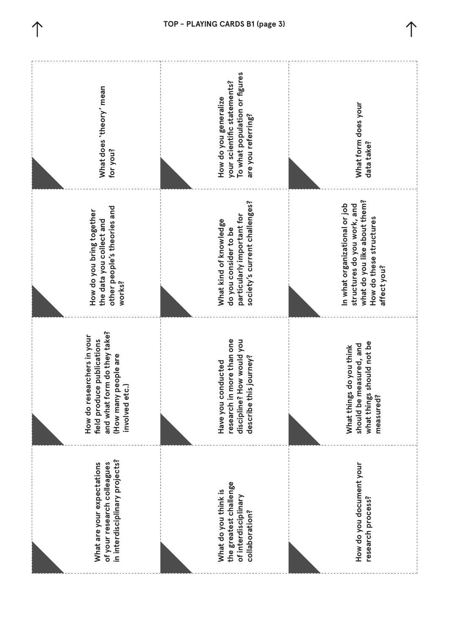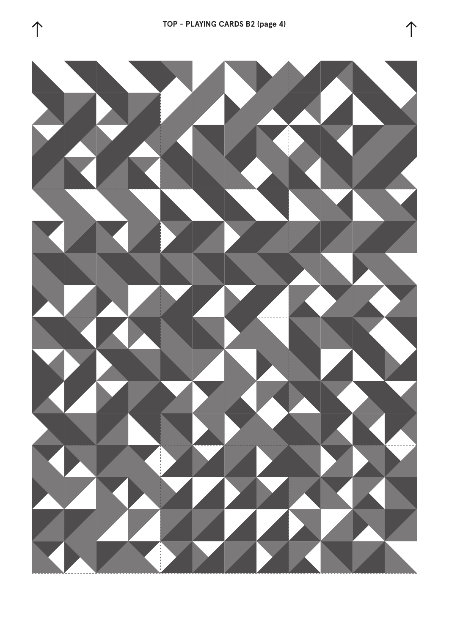



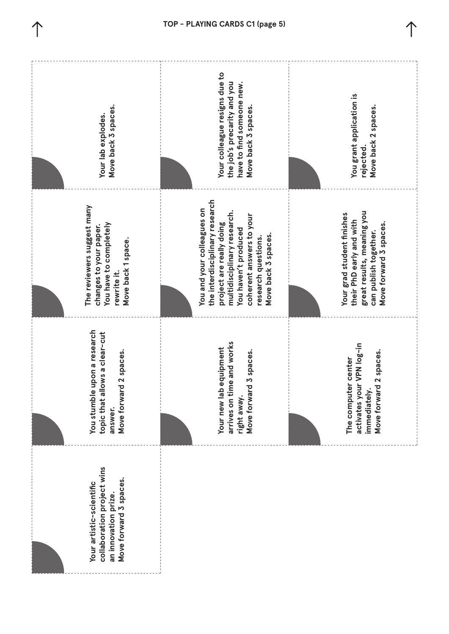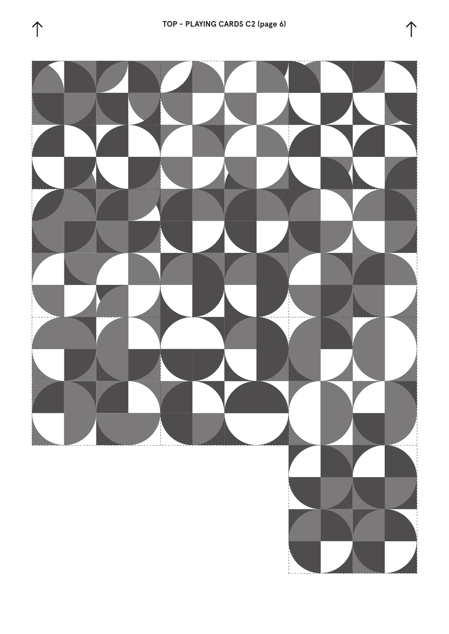

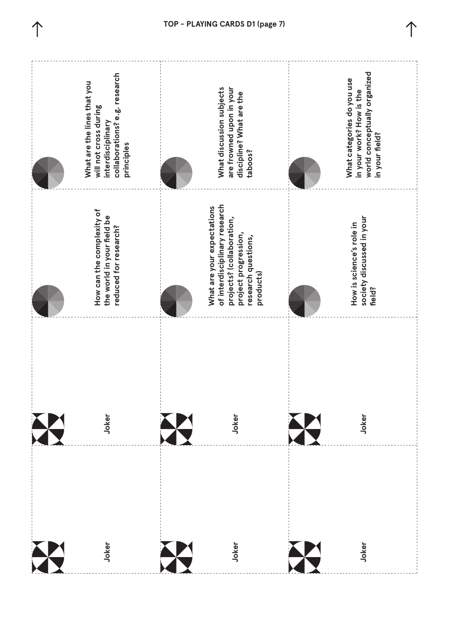

**TOP - PLAYING CARDS D1 (page 7)**

 $\hat{\mathcal{L}}$